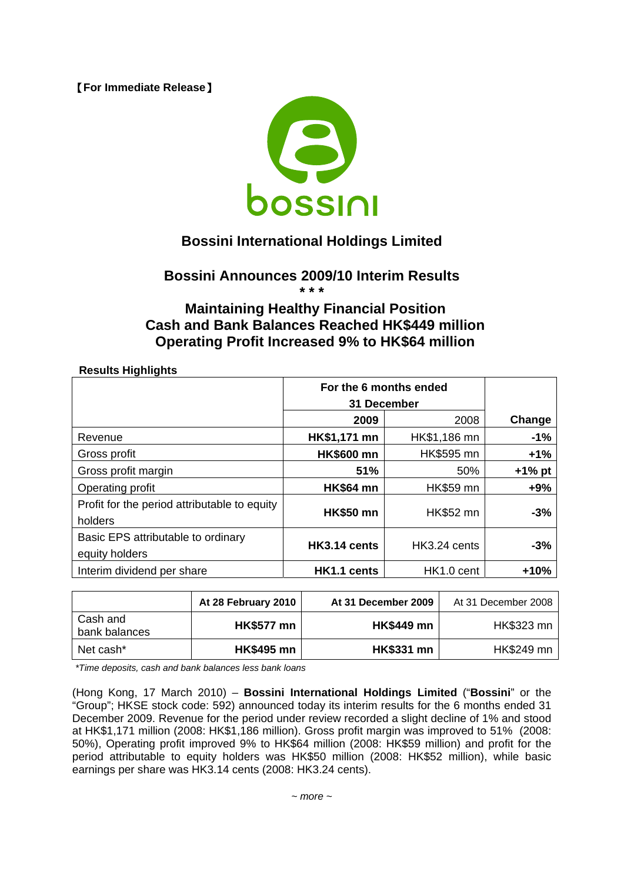【**For Immediate Release**】



## **Bossini International Holdings Limited**

# **Bossini Announces 2009/10 Interim Results**

**\* \* \*** 

### **Maintaining Healthy Financial Position Cash and Bank Balances Reached HK\$449 million Operating Profit Increased 9% to HK\$64 million**

**Results Highlights** 

|                                              | For the 6 months ended |                  |           |
|----------------------------------------------|------------------------|------------------|-----------|
|                                              | 31 December            |                  |           |
|                                              | 2009                   | 2008             | Change    |
| Revenue                                      | HK\$1,171 mn           | HK\$1,186 mn     | $-1%$     |
| Gross profit                                 | <b>HK\$600 mn</b>      | HK\$595 mn       | $+1%$     |
| Gross profit margin                          | 51%                    | 50%              | $+1\%$ pt |
| Operating profit                             | <b>HK\$64 mn</b>       | <b>HK\$59 mn</b> | $+9%$     |
| Profit for the period attributable to equity |                        | <b>HK\$52 mn</b> | $-3%$     |
| holders                                      | <b>HK\$50 mn</b>       |                  |           |
| Basic EPS attributable to ordinary           |                        |                  | $-3%$     |
| equity holders                               | HK3.14 cents           | HK3.24 cents     |           |
| Interim dividend per share                   | HK1.1 cents            | HK1.0 cent       | $+10%$    |

|                           | At 28 February 2010 | At 31 December 2009 | At 31 December 2008 |
|---------------------------|---------------------|---------------------|---------------------|
| Cash and<br>bank balances | <b>HK\$577 mn</b>   | <b>HK\$449 mn</b>   | HK\$323 mn          |
| Net cash*                 | <b>HK\$495 mn</b>   | <b>HK\$331 mn</b>   | HK\$249 mn          |

*\*Time deposits, cash and bank balances less bank loans*

(Hong Kong, 17 March 2010) – **Bossini International Holdings Limited** ("**Bossini**" or the "Group"; HKSE stock code: 592) announced today its interim results for the 6 months ended 31 December 2009. Revenue for the period under review recorded a slight decline of 1% and stood at HK\$1,171 million (2008: HK\$1,186 million). Gross profit margin was improved to 51% (2008: 50%), Operating profit improved 9% to HK\$64 million (2008: HK\$59 million) and profit for the period attributable to equity holders was HK\$50 million (2008: HK\$52 million), while basic earnings per share was HK3.14 cents (2008: HK3.24 cents).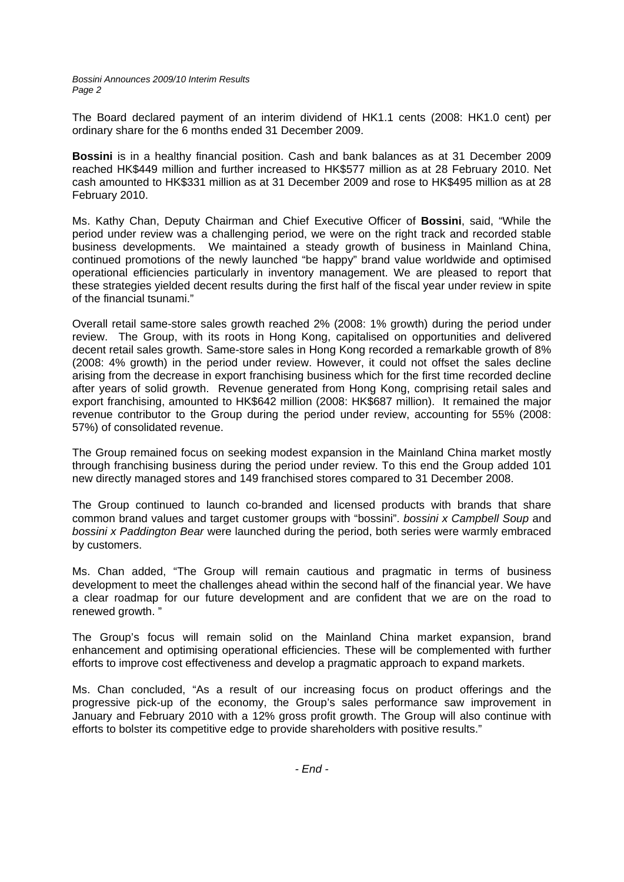*Bossini Announces 2009/10 Interim Results Page 2* 

The Board declared payment of an interim dividend of HK1.1 cents (2008: HK1.0 cent) per ordinary share for the 6 months ended 31 December 2009.

**Bossini** is in a healthy financial position. Cash and bank balances as at 31 December 2009 reached HK\$449 million and further increased to HK\$577 million as at 28 February 2010. Net cash amounted to HK\$331 million as at 31 December 2009 and rose to HK\$495 million as at 28 February 2010.

Ms. Kathy Chan, Deputy Chairman and Chief Executive Officer of **Bossini**, said, "While the period under review was a challenging period, we were on the right track and recorded stable business developments. We maintained a steady growth of business in Mainland China, continued promotions of the newly launched "be happy" brand value worldwide and optimised operational efficiencies particularly in inventory management. We are pleased to report that these strategies yielded decent results during the first half of the fiscal year under review in spite of the financial tsunami."

Overall retail same-store sales growth reached 2% (2008: 1% growth) during the period under review. The Group, with its roots in Hong Kong, capitalised on opportunities and delivered decent retail sales growth. Same-store sales in Hong Kong recorded a remarkable growth of 8% (2008: 4% growth) in the period under review. However, it could not offset the sales decline arising from the decrease in export franchising business which for the first time recorded decline after years of solid growth. Revenue generated from Hong Kong, comprising retail sales and export franchising, amounted to HK\$642 million (2008: HK\$687 million). It remained the major revenue contributor to the Group during the period under review, accounting for 55% (2008: 57%) of consolidated revenue.

The Group remained focus on seeking modest expansion in the Mainland China market mostly through franchising business during the period under review. To this end the Group added 101 new directly managed stores and 149 franchised stores compared to 31 December 2008.

The Group continued to launch co-branded and licensed products with brands that share common brand values and target customer groups with "bossini". *bossini x Campbell Soup* and *bossini x Paddington Bear* were launched during the period, both series were warmly embraced by customers.

Ms. Chan added, "The Group will remain cautious and pragmatic in terms of business development to meet the challenges ahead within the second half of the financial year. We have a clear roadmap for our future development and are confident that we are on the road to renewed growth. "

The Group's focus will remain solid on the Mainland China market expansion, brand enhancement and optimising operational efficiencies. These will be complemented with further efforts to improve cost effectiveness and develop a pragmatic approach to expand markets.

Ms. Chan concluded, "As a result of our increasing focus on product offerings and the progressive pick-up of the economy, the Group's sales performance saw improvement in January and February 2010 with a 12% gross profit growth. The Group will also continue with efforts to bolster its competitive edge to provide shareholders with positive results."